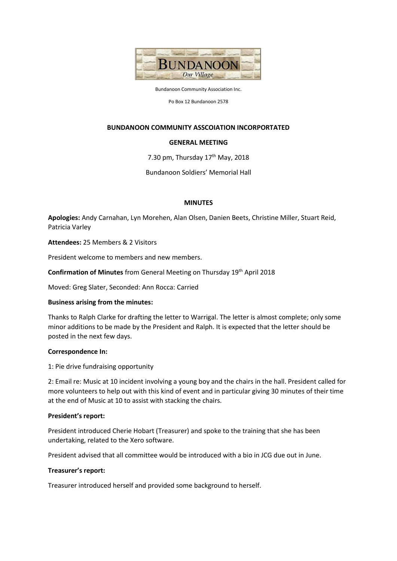

Bundanoon Community Association Inc.

Po Box 12 Bundanoon 2578

## **BUNDANOON COMMUNITY ASSCOIATION INCORPORTATED**

## **GENERAL MEETING**

7.30 pm, Thursday  $17<sup>th</sup>$  May, 2018

Bundanoon Soldiers' Memorial Hall

### **MINUTES**

**Apologies:** Andy Carnahan, Lyn Morehen, Alan Olsen, Danien Beets, Christine Miller, Stuart Reid, Patricia Varley

**Attendees:** 25 Members & 2 Visitors

President welcome to members and new members.

**Confirmation of Minutes** from General Meeting on Thursday 19<sup>th</sup> April 2018

Moved: Greg Slater, Seconded: Ann Rocca: Carried

### **Business arising from the minutes:**

Thanks to Ralph Clarke for drafting the letter to Warrigal. The letter is almost complete; only some minor additions to be made by the President and Ralph. It is expected that the letter should be posted in the next few days.

### **Correspondence In:**

1: Pie drive fundraising opportunity

2: Email re: Music at 10 incident involving a young boy and the chairs in the hall. President called for more volunteers to help out with this kind of event and in particular giving 30 minutes of their time at the end of Music at 10 to assist with stacking the chairs.

### **President's report:**

President introduced Cherie Hobart (Treasurer) and spoke to the training that she has been undertaking, related to the Xero software.

President advised that all committee would be introduced with a bio in JCG due out in June.

### **Treasurer's report:**

Treasurer introduced herself and provided some background to herself.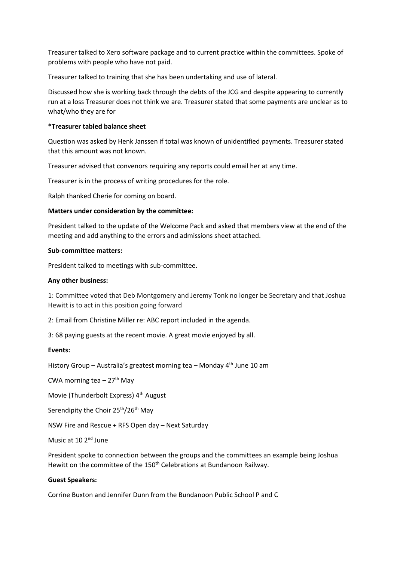Treasurer talked to Xero software package and to current practice within the committees. Spoke of problems with people who have not paid.

Treasurer talked to training that she has been undertaking and use of lateral.

Discussed how she is working back through the debts of the JCG and despite appearing to currently run at a loss Treasurer does not think we are. Treasurer stated that some payments are unclear as to what/who they are for

# **\*Treasurer tabled balance sheet**

Question was asked by Henk Janssen if total was known of unidentified payments. Treasurer stated that this amount was not known.

Treasurer advised that convenors requiring any reports could email her at any time.

Treasurer is in the process of writing procedures for the role.

Ralph thanked Cherie for coming on board.

## **Matters under consideration by the committee:**

President talked to the update of the Welcome Pack and asked that members view at the end of the meeting and add anything to the errors and admissions sheet attached.

## **Sub-committee matters:**

President talked to meetings with sub-committee.

## **Any other business:**

1: Committee voted that Deb Montgomery and Jeremy Tonk no longer be Secretary and that Joshua Hewitt is to act in this position going forward

2: Email from Christine Miller re: ABC report included in the agenda.

3: 68 paying guests at the recent movie. A great movie enjoyed by all.

## **Events:**

History Group - Australia's greatest morning tea - Monday 4<sup>th</sup> June 10 am

CWA morning tea  $-27$ <sup>th</sup> May

Movie (Thunderbolt Express) 4<sup>th</sup> August

Serendipity the Choir 25<sup>th</sup>/26<sup>th</sup> May

NSW Fire and Rescue + RFS Open day – Next Saturday

Music at 10 2<sup>nd</sup> June

President spoke to connection between the groups and the committees an example being Joshua Hewitt on the committee of the 150<sup>th</sup> Celebrations at Bundanoon Railway.

## **Guest Speakers:**

Corrine Buxton and Jennifer Dunn from the Bundanoon Public School P and C